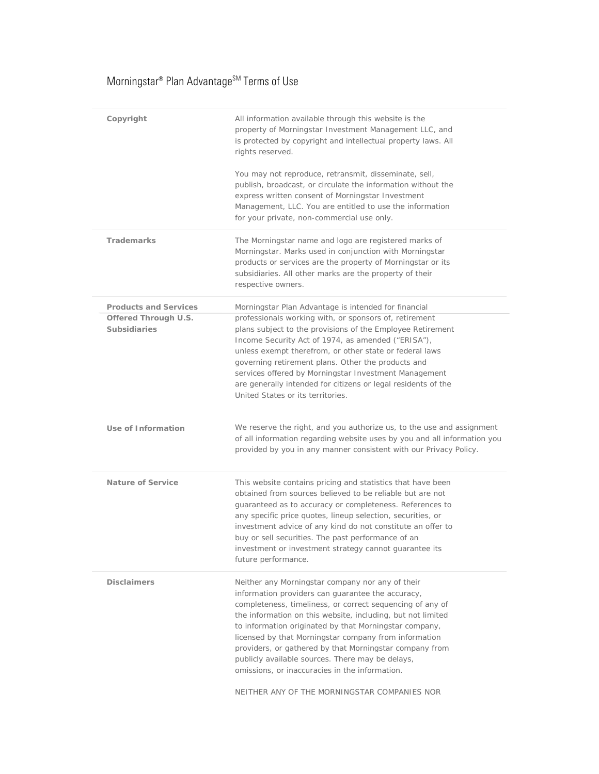## $\mathsf{Morningstar}^\circ$  Plan Advantage  $^{\mathsf{SM}}$  Terms of Use

| Copyright                                   | All information available through this website is the<br>property of Morningstar Investment Management LLC, and<br>is protected by copyright and intellectual property laws. All<br>rights reserved.<br>You may not reproduce, retransmit, disseminate, sell,<br>publish, broadcast, or circulate the information without the<br>express written consent of Morningstar Investment<br>Management, LLC. You are entitled to use the information<br>for your private, non-commercial use only.                                                                          |
|---------------------------------------------|-----------------------------------------------------------------------------------------------------------------------------------------------------------------------------------------------------------------------------------------------------------------------------------------------------------------------------------------------------------------------------------------------------------------------------------------------------------------------------------------------------------------------------------------------------------------------|
| <b>Trademarks</b>                           | The Morningstar name and logo are registered marks of<br>Morningstar. Marks used in conjunction with Morningstar<br>products or services are the property of Morningstar or its<br>subsidiaries. All other marks are the property of their<br>respective owners.                                                                                                                                                                                                                                                                                                      |
| <b>Products and Services</b>                | Morningstar Plan Advantage is intended for financial                                                                                                                                                                                                                                                                                                                                                                                                                                                                                                                  |
| Offered Through U.S.<br><b>Subsidiaries</b> | professionals working with, or sponsors of, retirement<br>plans subject to the provisions of the Employee Retirement<br>Income Security Act of 1974, as amended ("ERISA"),<br>unless exempt therefrom, or other state or federal laws<br>governing retirement plans. Other the products and<br>services offered by Morningstar Investment Management<br>are generally intended for citizens or legal residents of the<br>United States or its territories.                                                                                                            |
|                                             |                                                                                                                                                                                                                                                                                                                                                                                                                                                                                                                                                                       |
| Use of Information                          | We reserve the right, and you authorize us, to the use and assignment<br>of all information regarding website uses by you and all information you<br>provided by you in any manner consistent with our Privacy Policy.                                                                                                                                                                                                                                                                                                                                                |
| Nature of Service                           | This website contains pricing and statistics that have been<br>obtained from sources believed to be reliable but are not<br>guaranteed as to accuracy or completeness. References to<br>any specific price quotes, lineup selection, securities, or<br>investment advice of any kind do not constitute an offer to<br>buy or sell securities. The past performance of an<br>investment or investment strategy cannot guarantee its<br>future performance.                                                                                                             |
| <b>Disclaimers</b>                          | Neither any Morningstar company nor any of their<br>information providers can quarantee the accuracy,<br>completeness, timeliness, or correct sequencing of any of<br>the information on this website, including, but not limited<br>to information originated by that Morningstar company,<br>licensed by that Morningstar company from information<br>providers, or gathered by that Morningstar company from<br>publicly available sources. There may be delays,<br>omissions, or inaccuracies in the information.<br>NEITHER ANY OF THE MORNINGSTAR COMPANIES NOR |